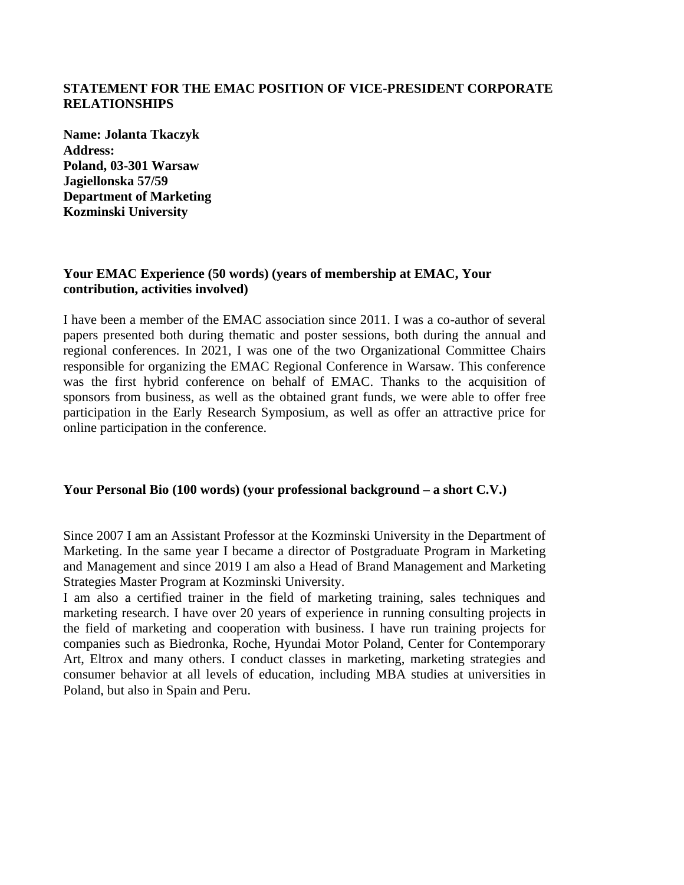## **STATEMENT FOR THE EMAC POSITION OF VICE-PRESIDENT CORPORATE RELATIONSHIPS**

**Name: Jolanta Tkaczyk Address: Poland, 03-301 Warsaw Jagiellonska 57/59 Department of Marketing Kozminski University**

## **Your EMAC Experience (50 words) (years of membership at EMAC, Your contribution, activities involved)**

I have been a member of the EMAC association since 2011. I was a co-author of several papers presented both during thematic and poster sessions, both during the annual and regional conferences. In 2021, I was one of the two Organizational Committee Chairs responsible for organizing the EMAC Regional Conference in Warsaw. This conference was the first hybrid conference on behalf of EMAC. Thanks to the acquisition of sponsors from business, as well as the obtained grant funds, we were able to offer free participation in the Early Research Symposium, as well as offer an attractive price for online participation in the conference.

## **Your Personal Bio (100 words) (your professional background – a short C.V.)**

Since 2007 I am an Assistant Professor at the Kozminski University in the Department of Marketing. In the same year I became a director of Postgraduate Program in Marketing and Management and since 2019 I am also a Head of Brand Management and Marketing Strategies Master Program at Kozminski University.

I am also a certified trainer in the field of marketing training, sales techniques and marketing research. I have over 20 years of experience in running consulting projects in the field of marketing and cooperation with business. I have run training projects for companies such as Biedronka, Roche, Hyundai Motor Poland, Center for Contemporary Art, Eltrox and many others. I conduct classes in marketing, marketing strategies and consumer behavior at all levels of education, including MBA studies at universities in Poland, but also in Spain and Peru.